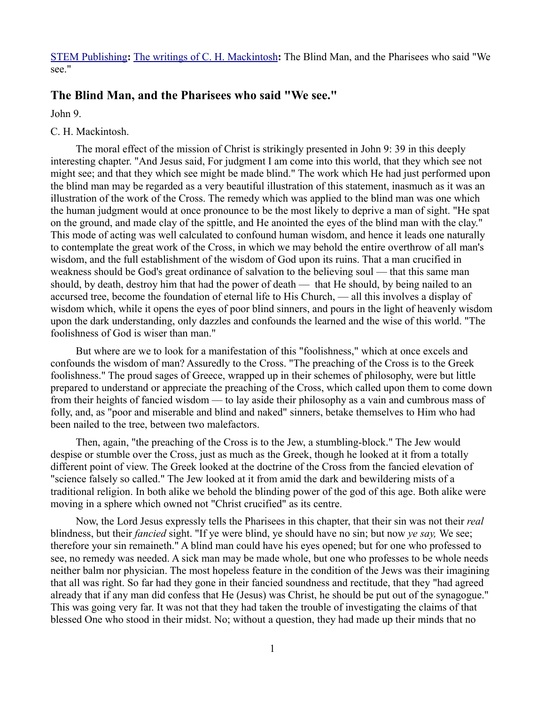[STEM Publishing](http://www.stempublishing.com/)**:** [The writings of C. H. Mackintosh](http://www.stempublishing.com/authors/mackintosh/index.html)**:** The Blind Man, and the Pharisees who said "We see."

## **The Blind Man, and the Pharisees who said "We see."**

John 9.

## C. H. Mackintosh.

The moral effect of the mission of Christ is strikingly presented in John 9: 39 in this deeply interesting chapter. "And Jesus said, For judgment I am come into this world, that they which see not might see; and that they which see might be made blind." The work which He had just performed upon the blind man may be regarded as a very beautiful illustration of this statement, inasmuch as it was an illustration of the work of the Cross. The remedy which was applied to the blind man was one which the human judgment would at once pronounce to be the most likely to deprive a man of sight. "He spat on the ground, and made clay of the spittle, and He anointed the eyes of the blind man with the clay." This mode of acting was well calculated to confound human wisdom, and hence it leads one naturally to contemplate the great work of the Cross, in which we may behold the entire overthrow of all man's wisdom, and the full establishment of the wisdom of God upon its ruins. That a man crucified in weakness should be God's great ordinance of salvation to the believing soul — that this same man should, by death, destroy him that had the power of death — that He should, by being nailed to an accursed tree, become the foundation of eternal life to His Church, — all this involves a display of wisdom which, while it opens the eyes of poor blind sinners, and pours in the light of heavenly wisdom upon the dark understanding, only dazzles and confounds the learned and the wise of this world. "The foolishness of God is wiser than man."

But where are we to look for a manifestation of this "foolishness," which at once excels and confounds the wisdom of man? Assuredly to the Cross. "The preaching of the Cross is to the Greek foolishness." The proud sages of Greece, wrapped up in their schemes of philosophy, were but little prepared to understand or appreciate the preaching of the Cross, which called upon them to come down from their heights of fancied wisdom — to lay aside their philosophy as a vain and cumbrous mass of folly, and, as "poor and miserable and blind and naked" sinners, betake themselves to Him who had been nailed to the tree, between two malefactors.

Then, again, "the preaching of the Cross is to the Jew, a stumbling-block." The Jew would despise or stumble over the Cross, just as much as the Greek, though he looked at it from a totally different point of view. The Greek looked at the doctrine of the Cross from the fancied elevation of "science falsely so called." The Jew looked at it from amid the dark and bewildering mists of a traditional religion. In both alike we behold the blinding power of the god of this age. Both alike were moving in a sphere which owned not "Christ crucified" as its centre.

Now, the Lord Jesus expressly tells the Pharisees in this chapter, that their sin was not their *real* blindness, but their *fancied* sight. "If ye were blind, ye should have no sin; but now *ye say,* We see; therefore your sin remaineth." A blind man could have his eyes opened; but for one who professed to see, no remedy was needed. A sick man may be made whole, but one who professes to be whole needs neither balm nor physician. The most hopeless feature in the condition of the Jews was their imagining that all was right. So far had they gone in their fancied soundness and rectitude, that they "had agreed already that if any man did confess that He (Jesus) was Christ, he should be put out of the synagogue." This was going very far. It was not that they had taken the trouble of investigating the claims of that blessed One who stood in their midst. No; without a question, they had made up their minds that no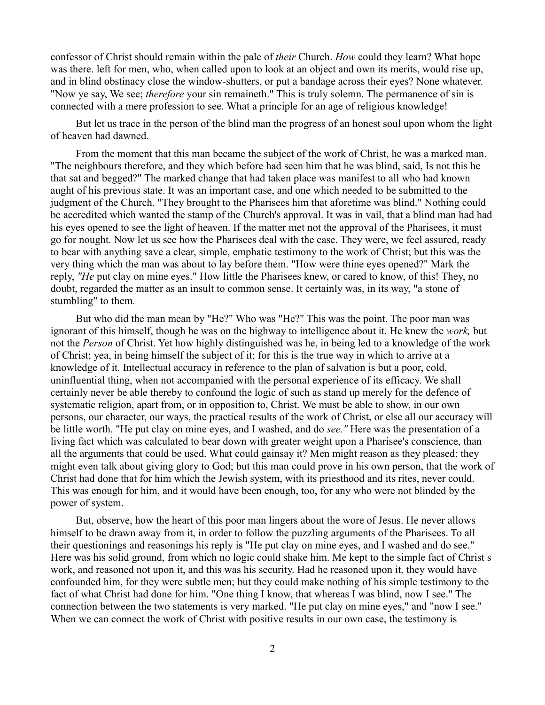confessor of Christ should remain within the pale of *their* Church. *How* could they learn? What hope was there. left for men, who, when called upon to look at an object and own its merits, would rise up, and in blind obstinacy close the window-shutters, or put a bandage across their eyes? None whatever. "Now ye say, We see; *therefore* your sin remaineth." This is truly solemn. The permanence of sin is connected with a mere profession to see. What a principle for an age of religious knowledge!

But let us trace in the person of the blind man the progress of an honest soul upon whom the light of heaven had dawned.

From the moment that this man became the subject of the work of Christ, he was a marked man. "The neighbours therefore, and they which before had seen him that he was blind, said, Is not this he that sat and begged?" The marked change that had taken place was manifest to all who had known aught of his previous state. It was an important case, and one which needed to be submitted to the judgment of the Church. "They brought to the Pharisees him that aforetime was blind." Nothing could be accredited which wanted the stamp of the Church's approval. It was in vail, that a blind man had had his eyes opened to see the light of heaven. If the matter met not the approval of the Pharisees, it must go for nought. Now let us see how the Pharisees deal with the case. They were, we feel assured, ready to bear with anything save a clear, simple, emphatic testimony to the work of Christ; but this was the very thing which the man was about to lay before them. "How were thine eyes opened?" Mark the reply, *"He* put clay on mine eyes." How little the Pharisees knew, or cared to know, of this! They, no doubt, regarded the matter as an insult to common sense. It certainly was, in its way, "a stone of stumbling" to them.

But who did the man mean by "He?" Who was "He?" This was the point. The poor man was ignorant of this himself, though he was on the highway to intelligence about it. He knew the *work,* but not the *Person* of Christ. Yet how highly distinguished was he, in being led to a knowledge of the work of Christ; yea, in being himself the subject of it; for this is the true way in which to arrive at a knowledge of it. Intellectual accuracy in reference to the plan of salvation is but a poor, cold, uninfluential thing, when not accompanied with the personal experience of its efficacy. We shall certainly never be able thereby to confound the logic of such as stand up merely for the defence of systematic religion, apart from, or in opposition to, Christ. We must be able to show, in our own persons, our character, our ways, the practical results of the work of Christ, or else all our accuracy will be little worth. "He put clay on mine eyes, and I washed, and do *see."* Here was the presentation of a living fact which was calculated to bear down with greater weight upon a Pharisee's conscience, than all the arguments that could be used. What could gainsay it? Men might reason as they pleased; they might even talk about giving glory to God; but this man could prove in his own person, that the work of Christ had done that for him which the Jewish system, with its priesthood and its rites, never could. This was enough for him, and it would have been enough, too, for any who were not blinded by the power of system.

But, observe, how the heart of this poor man lingers about the wore of Jesus. He never allows himself to be drawn away from it, in order to follow the puzzling arguments of the Pharisees. To all their questionings and reasonings his reply is "He put clay on mine eyes, and I washed and do see." Here was his solid ground, from which no logic could shake him. Me kept to the simple fact of Christ s work, and reasoned not upon it, and this was his security. Had he reasoned upon it, they would have confounded him, for they were subtle men; but they could make nothing of his simple testimony to the fact of what Christ had done for him. "One thing I know, that whereas I was blind, now I see." The connection between the two statements is very marked. "He put clay on mine eyes," and "now I see." When we can connect the work of Christ with positive results in our own case, the testimony is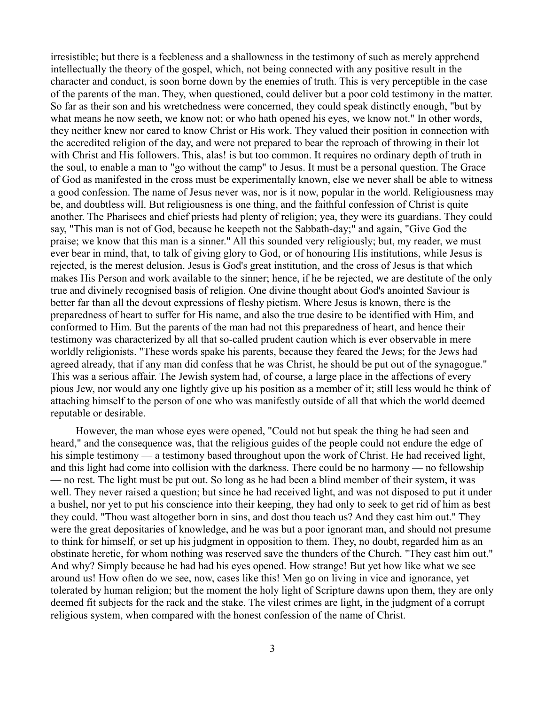irresistible; but there is a feebleness and a shallowness in the testimony of such as merely apprehend intellectually the theory of the gospel, which, not being connected with any positive result in the character and conduct, is soon borne down by the enemies of truth. This is very perceptible in the case of the parents of the man. They, when questioned, could deliver but a poor cold testimony in the matter. So far as their son and his wretchedness were concerned, they could speak distinctly enough, "but by what means he now seeth, we know not; or who hath opened his eyes, we know not." In other words, they neither knew nor cared to know Christ or His work. They valued their position in connection with the accredited religion of the day, and were not prepared to bear the reproach of throwing in their lot with Christ and His followers. This, alas! is but too common. It requires no ordinary depth of truth in the soul, to enable a man to "go without the camp" to Jesus. It must be a personal question. The Grace of God as manifested in the cross must be experimentally known, else we never shall be able to witness a good confession. The name of Jesus never was, nor is it now, popular in the world. Religiousness may be, and doubtless will. But religiousness is one thing, and the faithful confession of Christ is quite another. The Pharisees and chief priests had plenty of religion; yea, they were its guardians. They could say, "This man is not of God, because he keepeth not the Sabbath-day;" and again, "Give God the praise; we know that this man is a sinner." All this sounded very religiously; but, my reader, we must ever bear in mind, that, to talk of giving glory to God, or of honouring His institutions, while Jesus is rejected, is the merest delusion. Jesus is God's great institution, and the cross of Jesus is that which makes His Person and work available to the sinner; hence, if he be rejected, we are destitute of the only true and divinely recognised basis of religion. One divine thought about God's anointed Saviour is better far than all the devout expressions of fleshy pietism. Where Jesus is known, there is the preparedness of heart to suffer for His name, and also the true desire to be identified with Him, and conformed to Him. But the parents of the man had not this preparedness of heart, and hence their testimony was characterized by all that so-called prudent caution which is ever observable in mere worldly religionists. "These words spake his parents, because they feared the Jews; for the Jews had agreed already, that if any man did confess that he was Christ, he should be put out of the synagogue." This was a serious affair. The Jewish system had, of course, a large place in the affections of every pious Jew, nor would any one lightly give up his position as a member of it; still less would he think of attaching himself to the person of one who was manifestly outside of all that which the world deemed reputable or desirable.

However, the man whose eyes were opened, "Could not but speak the thing he had seen and heard," and the consequence was, that the religious guides of the people could not endure the edge of his simple testimony — a testimony based throughout upon the work of Christ. He had received light, and this light had come into collision with the darkness. There could be no harmony — no fellowship — no rest. The light must be put out. So long as he had been a blind member of their system, it was well. They never raised a question; but since he had received light, and was not disposed to put it under a bushel, nor yet to put his conscience into their keeping, they had only to seek to get rid of him as best they could. "Thou wast altogether born in sins, and dost thou teach us? And they cast him out." They were the great depositaries of knowledge, and he was but a poor ignorant man, and should not presume to think for himself, or set up his judgment in opposition to them. They, no doubt, regarded him as an obstinate heretic, for whom nothing was reserved save the thunders of the Church. "They cast him out." And why? Simply because he had had his eyes opened. How strange! But yet how like what we see around us! How often do we see, now, cases like this! Men go on living in vice and ignorance, yet tolerated by human religion; but the moment the holy light of Scripture dawns upon them, they are only deemed fit subjects for the rack and the stake. The vilest crimes are light, in the judgment of a corrupt religious system, when compared with the honest confession of the name of Christ.